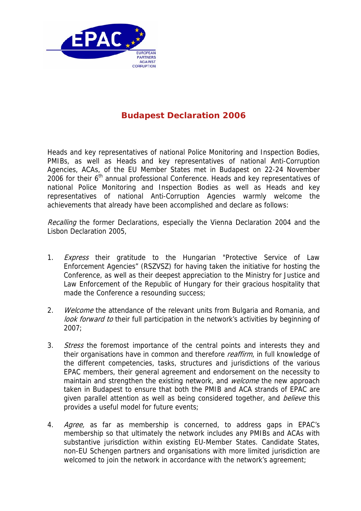

## **Budapest Declaration 2006**

Heads and key representatives of national Police Monitoring and Inspection Bodies, PMIBs, as well as Heads and key representatives of national Anti-Corruption Agencies, ACAs, of the EU Member States met in Budapest on 22-24 November 2006 for their  $6<sup>th</sup>$  annual professional Conference. Heads and key representatives of national Police Monitoring and Inspection Bodies as well as Heads and key representatives of national Anti-Corruption Agencies warmly welcome the achievements that already have been accomplished and declare as follows:

Recalling the former Declarations, especially the Vienna Declaration 2004 and the Lisbon Declaration 2005,

- 1. *Express* their gratitude to the Hungarian "Protective Service of Law Enforcement Agencies" (RSZVSZ) for having taken the initiative for hosting the Conference, as well as their deepest appreciation to the Ministry for Justice and Law Enforcement of the Republic of Hungary for their gracious hospitality that made the Conference a resounding success;
- 2. Welcome the attendance of the relevant units from Bulgaria and Romania, and look forward to their full participation in the network's activities by beginning of 2007;
- 3. Stress the foremost importance of the central points and interests they and their organisations have in common and therefore *reaffirm*, in full knowledge of the different competencies, tasks, structures and jurisdictions of the various EPAC members, their general agreement and endorsement on the necessity to maintain and strengthen the existing network, and *welcome* the new approach taken in Budapest to ensure that both the PMIB and ACA strands of EPAC are given parallel attention as well as being considered together, and *believe* this provides a useful model for future events;
- 4. *Agree*, as far as membership is concerned, to address gaps in EPAC's membership so that ultimately the network includes any PMIBs and ACAs with substantive jurisdiction within existing EU-Member States. Candidate States, non-EU Schengen partners and organisations with more limited jurisdiction are welcomed to join the network in accordance with the network's agreement;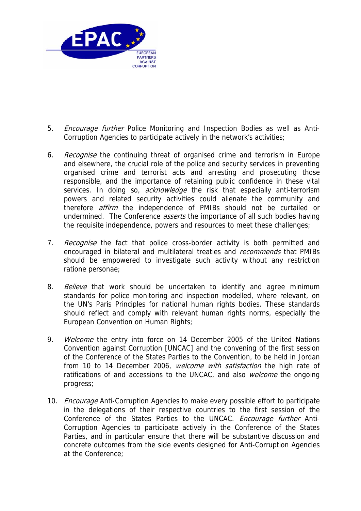

- 5. *Encourage further* Police Monitoring and Inspection Bodies as well as Anti-Corruption Agencies to participate actively in the network's activities;
- 6. Recognise the continuing threat of organised crime and terrorism in Europe and elsewhere, the crucial role of the police and security services in preventing organised crime and terrorist acts and arresting and prosecuting those responsible, and the importance of retaining public confidence in these vital services. In doing so, *acknowledge* the risk that especially anti-terrorism powers and related security activities could alienate the community and therefore *affirm* the independence of PMIBs should not be curtailed or undermined. The Conference *asserts* the importance of all such bodies having the requisite independence, powers and resources to meet these challenges;
- 7. Recognise the fact that police cross-border activity is both permitted and encouraged in bilateral and multilateral treaties and *recommends* that PMIBs should be empowered to investigate such activity without any restriction ratione personae;
- 8. Believe that work should be undertaken to identify and agree minimum standards for police monitoring and inspection modelled, where relevant, on the UN's Paris Principles for national human rights bodies. These standards should reflect and comply with relevant human rights norms, especially the European Convention on Human Rights;
- 9. Welcome the entry into force on 14 December 2005 of the United Nations Convention against Corruption [UNCAC] and the convening of the first session of the Conference of the States Parties to the Convention, to be held in Jordan from 10 to 14 December 2006, *welcome with satisfaction* the high rate of ratifications of and accessions to the UNCAC, and also welcome the ongoing progress;
- 10. *Encourage* Anti-Corruption Agencies to make every possible effort to participate in the delegations of their respective countries to the first session of the Conference of the States Parties to the UNCAC. Encourage further Anti-Corruption Agencies to participate actively in the Conference of the States Parties, and in particular ensure that there will be substantive discussion and concrete outcomes from the side events designed for Anti-Corruption Agencies at the Conference;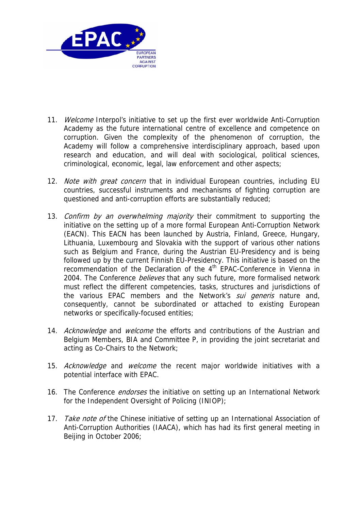

- 11. Welcome Interpol's initiative to set up the first ever worldwide Anti-Corruption Academy as the future international centre of excellence and competence on corruption. Given the complexity of the phenomenon of corruption, the Academy will follow a comprehensive interdisciplinary approach, based upon research and education, and will deal with sociological, political sciences, criminological, economic, legal, law enforcement and other aspects;
- 12. Note with great concern that in individual European countries, including EU countries, successful instruments and mechanisms of fighting corruption are questioned and anti-corruption efforts are substantially reduced;
- 13. Confirm by an overwhelming majority their commitment to supporting the initiative on the setting up of a more formal European Anti-Corruption Network (EACN). This EACN has been launched by Austria, Finland, Greece, Hungary, Lithuania, Luxembourg and Slovakia with the support of various other nations such as Belgium and France, during the Austrian EU-Presidency and is being followed up by the current Finnish EU-Presidency. This initiative is based on the recommendation of the Declaration of the  $4<sup>th</sup>$  EPAC-Conference in Vienna in 2004. The Conference *believes* that any such future, more formalised network must reflect the different competencies, tasks, structures and jurisdictions of the various EPAC members and the Network's *sui generis* nature and, consequently, cannot be subordinated or attached to existing European networks or specifically-focused entities;
- 14. Acknowledge and welcome the efforts and contributions of the Austrian and Belgium Members, BIA and Committee P, in providing the joint secretariat and acting as Co-Chairs to the Network;
- 15. Acknowledge and welcome the recent major worldwide initiatives with a potential interface with EPAC.
- 16. The Conference *endorses* the initiative on setting up an International Network for the Independent Oversight of Policing (INIOP);
- 17. Take note of the Chinese initiative of setting up an International Association of Anti-Corruption Authorities (IAACA), which has had its first general meeting in Beijing in October 2006;